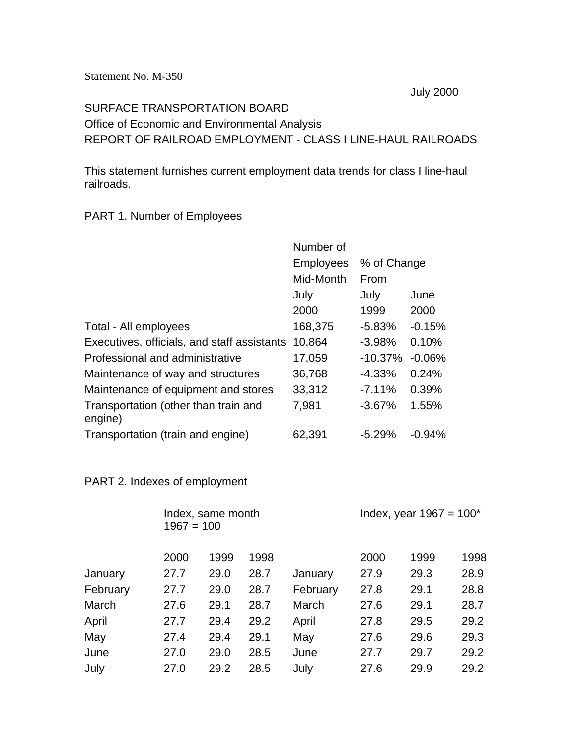July 2000

## SURFACE TRANSPORTATION BOARD Office of Economic and Environmental Analysis REPORT OF RAILROAD EMPLOYMENT - CLASS I LINE-HAUL RAILROADS

This statement furnishes current employment data trends for class I line-haul railroads.

## PART 1. Number of Employees

|                                                 | Number of        |             |          |
|-------------------------------------------------|------------------|-------------|----------|
|                                                 | <b>Employees</b> | % of Change |          |
|                                                 | Mid-Month        | From        |          |
|                                                 | July             | July        | June     |
|                                                 | 2000             | 1999        | 2000     |
| Total - All employees                           | 168,375          | $-5.83%$    | $-0.15%$ |
| Executives, officials, and staff assistants     | 10,864           | $-3.98%$    | 0.10%    |
| Professional and administrative                 | 17,059           | $-10.37%$   | $-0.06%$ |
| Maintenance of way and structures               | 36,768           | $-4.33%$    | 0.24%    |
| Maintenance of equipment and stores             | 33,312           | $-7.11%$    | 0.39%    |
| Transportation (other than train and<br>engine) | 7,981            | $-3.67%$    | 1.55%    |
| Transportation (train and engine)               | 62,391           | $-5.29%$    | $-0.94%$ |

## PART 2. Indexes of employment

|          |      | Index, same month<br>$1967 = 100$ |      |          | Index, year $1967 = 100^*$ |      |      |  |
|----------|------|-----------------------------------|------|----------|----------------------------|------|------|--|
|          | 2000 | 1999                              | 1998 |          | 2000                       | 1999 | 1998 |  |
| January  | 27.7 | 29.0                              | 28.7 | January  | 27.9                       | 29.3 | 28.9 |  |
| February | 27.7 | 29.0                              | 28.7 | February | 27.8                       | 29.1 | 28.8 |  |
| March    | 27.6 | 29.1                              | 28.7 | March    | 27.6                       | 29.1 | 28.7 |  |
| April    | 27.7 | 29.4                              | 29.2 | April    | 27.8                       | 29.5 | 29.2 |  |
| May      | 27.4 | 29.4                              | 29.1 | May      | 27.6                       | 29.6 | 29.3 |  |
| June     | 27.0 | 29.0                              | 28.5 | June     | 27.7                       | 29.7 | 29.2 |  |
| July     | 27.0 | 29.2                              | 28.5 | July     | 27.6                       | 29.9 | 29.2 |  |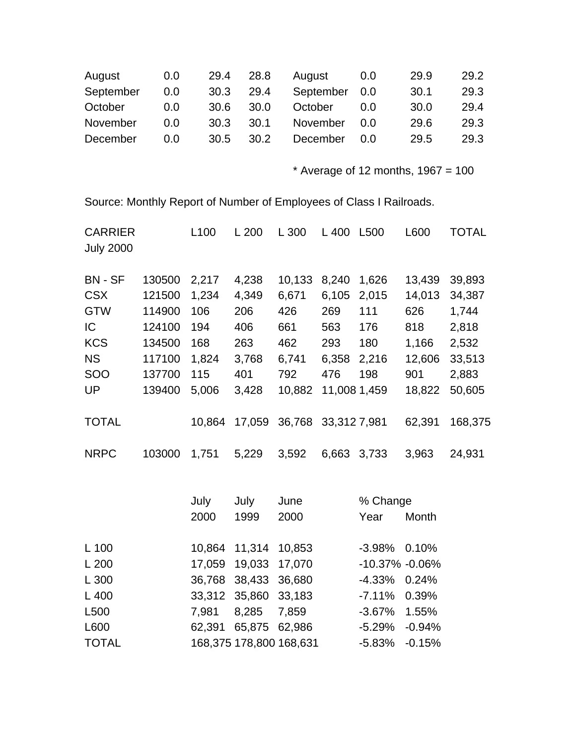| August    | 0.0 | 29.4 | 28.8  | August    | 0.0 | 29.9 | 29.2 |
|-----------|-----|------|-------|-----------|-----|------|------|
| September | 0.0 | 30.3 | 29.4  | September | 0.0 | 30.1 | 29.3 |
| October   | 0.0 | 30.6 | 30.0  | October   | 0.0 | 30.0 | 29.4 |
| November  | 0.0 | 30.3 | -30.1 | November  | O.O | 29.6 | 29.3 |
| December  | 0.0 | 30.5 | 30.2  | December  | 0.O | 29.5 | 29.3 |

 $*$  Average of 12 months, 1967 = 100

Source: Monthly Report of Number of Employees of Class I Railroads.

| <b>CARRIER</b><br><b>July 2000</b> |        | L <sub>100</sub> | L200   | L 300  | L 400        | L500  | L600   | <b>TOTAL</b> |
|------------------------------------|--------|------------------|--------|--------|--------------|-------|--------|--------------|
| <b>BN - SF</b>                     | 130500 | 2,217            | 4,238  | 10,133 | 8,240        | 1,626 | 13,439 | 39,893       |
| <b>CSX</b>                         | 121500 | 1,234            | 4,349  | 6,671  | 6,105        | 2,015 | 14,013 | 34,387       |
| <b>GTW</b>                         | 114900 | 106              | 206    | 426    | 269          | 111   | 626    | 1,744        |
| IC                                 | 124100 | 194              | 406    | 661    | 563          | 176   | 818    | 2,818        |
| <b>KCS</b>                         | 134500 | 168              | 263    | 462    | 293          | 180   | 1,166  | 2,532        |
| <b>NS</b>                          | 117100 | 1,824            | 3,768  | 6,741  | 6,358        | 2,216 | 12,606 | 33,513       |
| <b>SOO</b>                         | 137700 | 115              | 401    | 792    | 476          | 198   | 901    | 2,883        |
| UP                                 | 139400 | 5,006            | 3,428  | 10,882 | 11,008 1,459 |       | 18,822 | 50,605       |
| <b>TOTAL</b>                       |        | 10,864           | 17,059 | 36,768 | 33,312 7,981 |       | 62,391 | 168,375      |
| <b>NRPC</b>                        | 103000 | 1,751            | 5,229  | 3,592  | 6,663        | 3.733 | 3.963  | 24,931       |

|                  | July | July                 | June                    | % Change           |       |  |
|------------------|------|----------------------|-------------------------|--------------------|-------|--|
|                  | 2000 | 1999                 | 2000                    | Year               | Month |  |
| L 100            |      | 10,864 11,314 10,853 |                         | $-3.98\%$ 0.10%    |       |  |
| L200             |      | 17,059 19,033 17,070 |                         | $-10.37\% -0.06\%$ |       |  |
| L 300            |      | 36,768 38,433 36,680 |                         | $-4.33\%$ 0.24%    |       |  |
| $L$ 400          |      | 33,312 35,860 33,183 |                         | $-7.11\%$ 0.39%    |       |  |
| L <sub>500</sub> |      | 7,981 8,285 7,859    |                         | $-3.67\%$ 1.55%    |       |  |
| L600             |      | 62,391 65,875 62,986 |                         | $-5.29\% -0.94\%$  |       |  |
| <b>TOTAL</b>     |      |                      | 168,375 178,800 168,631 | $-5.83\% -0.15\%$  |       |  |
|                  |      |                      |                         |                    |       |  |